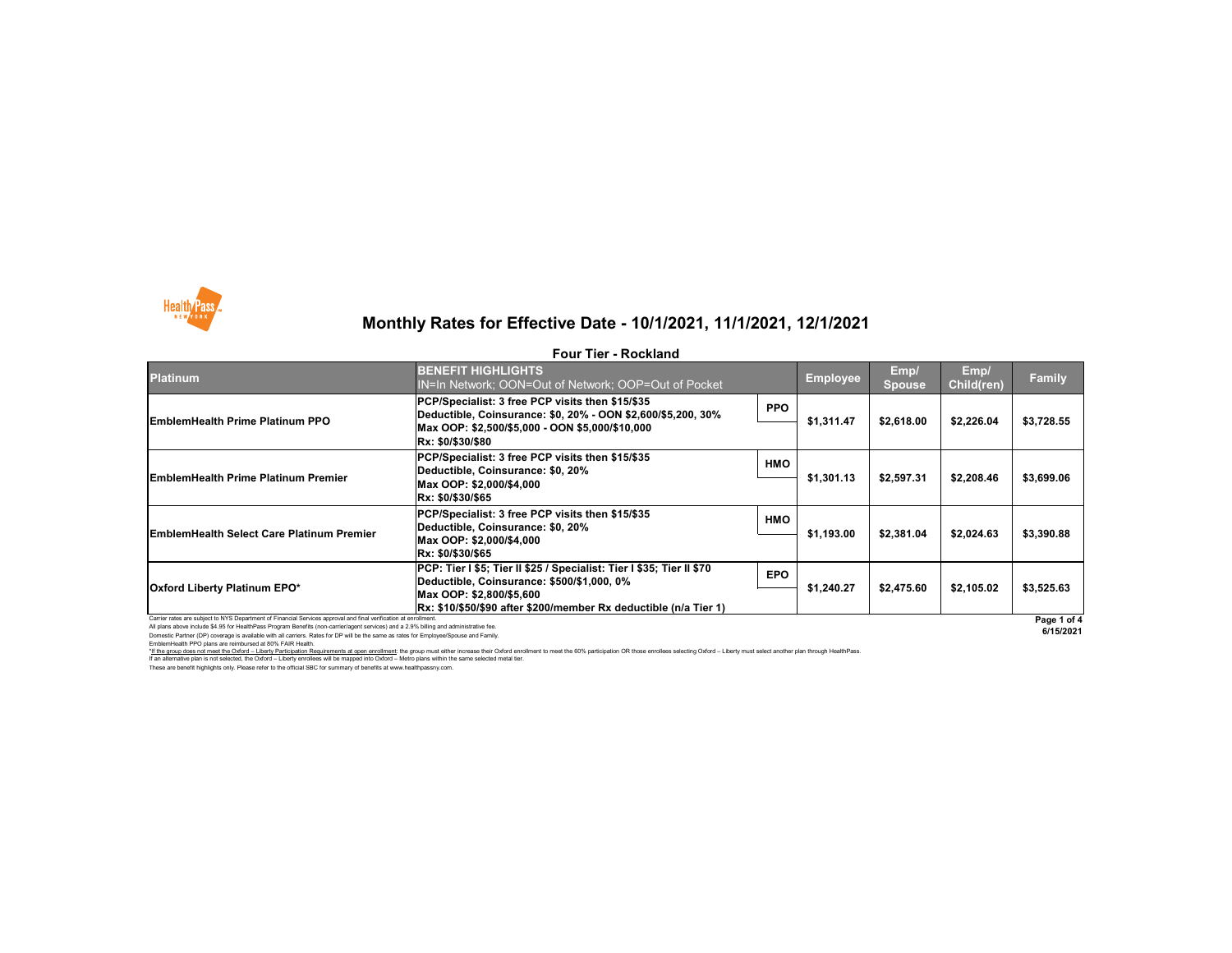All plans above include \$4.95 for HealthPass Program Benefits (non-carrier/agent services) and a 2.9% billing and administrative fee.

Domestic Partner (DP) coverage is available with all carriers. Rates for DP will be the same as rates for Employee/Spouse and Family. EmblemHealth PPO plans are reimbursed at 80% FAIR Health.



| <b>Platinum</b>                                                                                                  | <b>BENEFIT HIGHLIGHTS</b><br>IN=In Network; OON=Out of Network; OOP=Out of Pocket                                   |            | <b>Employee</b> | Emp/<br><b>Spouse</b> | Emp/<br>Child(ren) | <b>Family</b> |
|------------------------------------------------------------------------------------------------------------------|---------------------------------------------------------------------------------------------------------------------|------------|-----------------|-----------------------|--------------------|---------------|
| <b>EmblemHealth Prime Platinum PPO</b>                                                                           | PCP/Specialist: 3 free PCP visits then \$15/\$35<br>Deductible, Coinsurance: \$0, 20% - OON \$2,600/\$5,200, 30%    | <b>PPO</b> | \$1,311.47      |                       | \$2,226.04         | \$3,728.55    |
|                                                                                                                  | Max OOP: \$2,500/\$5,000 - OON \$5,000/\$10,000<br>Rx: \$0/\$30/\$80                                                |            |                 | \$2,618.00            |                    |               |
| <b>EmblemHealth Prime Platinum Premier</b>                                                                       | PCP/Specialist: 3 free PCP visits then \$15/\$35<br>Deductible, Coinsurance: \$0, 20%                               | <b>HMO</b> |                 | \$2,597.31            | \$2,208.46         | \$3,699.06    |
|                                                                                                                  | Max OOP: \$2,000/\$4,000<br>Rx: \$0/\$30/\$65                                                                       |            | \$1,301.13      |                       |                    |               |
| <b>EmblemHealth Select Care Platinum Premier</b>                                                                 | PCP/Specialist: 3 free PCP visits then \$15/\$35<br>Deductible, Coinsurance: \$0, 20%                               | <b>HMO</b> |                 | \$2,381.04            | \$2,024.63         | \$3,390.88    |
|                                                                                                                  | Max OOP: \$2,000/\$4,000<br>Rx: \$0/\$30/\$65                                                                       |            | \$1,193.00      |                       |                    |               |
| <b>Oxford Liberty Platinum EPO*</b>                                                                              | PCP: Tier I \$5; Tier II \$25 / Specialist: Tier I \$35; Tier II \$70<br>Deductible, Coinsurance: \$500/\$1,000, 0% | <b>EPO</b> |                 | \$2,475.60            | \$2,105.02         | \$3,525.63    |
|                                                                                                                  | Max OOP: \$2,800/\$5,600<br>Rx: \$10/\$50/\$90 after \$200/member Rx deductible (n/a Tier 1)                        |            | \$1,240.27      |                       |                    |               |
| Carrier rates are subject to NYS Department of Financial Services approval and final verification at enrollment. |                                                                                                                     |            |                 |                       |                    | Page 1 o      |

These are benefit highlights only. Please refer to the official SBC for summary of benefits at www.healthpassny.com. \*If the group does not meet the Oxford - Liberty Participation Requirements at open enrollment: the group must either increase their Oxford enrollment to meet the 60% participation OR those enrollees selecting Oxford - Lib If an alternative plan is not selected, the Oxford – Liberty enrollees will be mapped into Oxford – Metro plans within the same selected metal tier.



## **Monthly Rates for Effective Date - 10/1/2021, 11/1/2021, 12/1/2021**

### **Four Tier - Rockland**

**6/15/2021**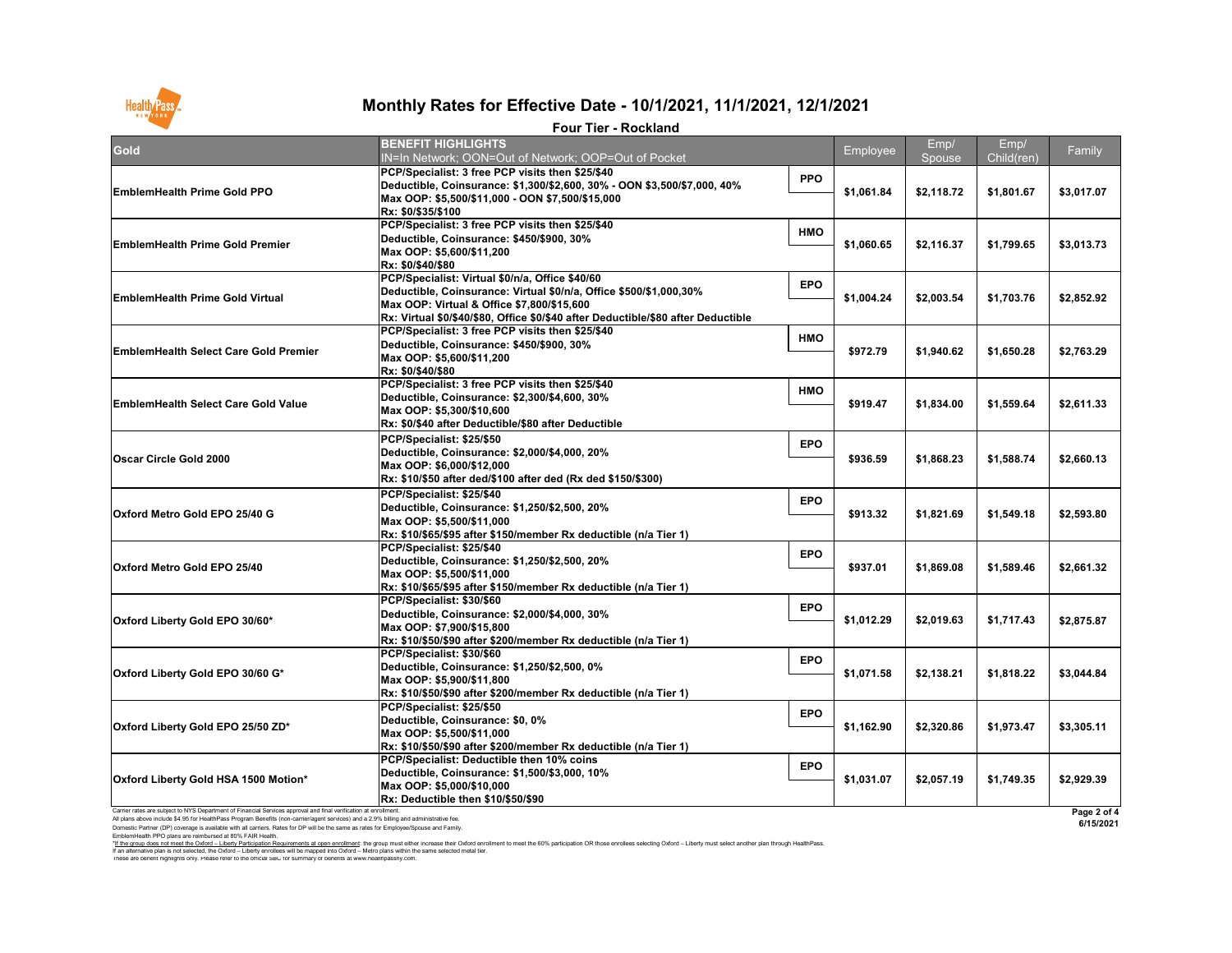EmblemHealth PPO plans are reimbursed at 80% FAIR Health.

I hese are benefit highlights only. Please refer to the official SBC for summary of benefits at www.healthpassny.com. \*<u>If the group does not meet the Oxford – Liberty Participation Requirements at open enrollment</u>: the group must either increase their Oxford enrollment to meet the 60% participation OR those enrollees selecting Oxford – L If an alternative plan is not selected, the Oxford – Liberty enrollees will be mapped into Oxford – Metro plans within the same selected metal tier.

| <b>Gold</b>                                                                                                                                                                                                                                                | <b>BENEFIT HIGHLIGHTS</b><br>IN=In Network; OON=Out of Network; OOP=Out of Pocket                                                     |            | Employee   | Emp/                                                                                                                                 | Emp/                                                                                                                                                                 | Family      |
|------------------------------------------------------------------------------------------------------------------------------------------------------------------------------------------------------------------------------------------------------------|---------------------------------------------------------------------------------------------------------------------------------------|------------|------------|--------------------------------------------------------------------------------------------------------------------------------------|----------------------------------------------------------------------------------------------------------------------------------------------------------------------|-------------|
|                                                                                                                                                                                                                                                            | PCP/Specialist: 3 free PCP visits then \$25/\$40                                                                                      |            |            |                                                                                                                                      |                                                                                                                                                                      |             |
| <b>EmblemHealth Prime Gold PPO</b>                                                                                                                                                                                                                         | Deductible, Coinsurance: \$1,300/\$2,600, 30% - OON \$3,500/\$7,000, 40%<br>Max OOP: \$5,500/\$11,000 - OON \$7,500/\$15,000          | <b>PPO</b> | \$1,061.84 | \$2,118.72                                                                                                                           | Child(ren)<br>\$1,801.67<br>\$1,799.65<br>\$1,703.76<br>\$1,650.28<br>\$1,559.64<br>\$1,588.74<br>\$1,549.18<br>\$1,589.46<br>\$1,717.43<br>\$1,818.22<br>\$1,973.47 | \$3,017.07  |
|                                                                                                                                                                                                                                                            | Rx: \$0/\$35/\$100                                                                                                                    |            |            |                                                                                                                                      |                                                                                                                                                                      |             |
|                                                                                                                                                                                                                                                            | PCP/Specialist: 3 free PCP visits then \$25/\$40                                                                                      | <b>HMO</b> |            |                                                                                                                                      |                                                                                                                                                                      |             |
| <b>EmblemHealth Prime Gold Premier</b>                                                                                                                                                                                                                     | Deductible, Coinsurance: \$450/\$900, 30%                                                                                             |            | \$1,060.65 | Spouse<br>\$2,116.37<br>\$2,003.54<br>\$1,940.62<br>\$1,834.00<br>\$1,868.23<br>\$1,821.69<br>\$1,869.08<br>\$2,019.63<br>\$2,138.21 | \$3,013.73                                                                                                                                                           |             |
|                                                                                                                                                                                                                                                            | Max OOP: \$5,600/\$11,200                                                                                                             |            |            |                                                                                                                                      |                                                                                                                                                                      |             |
|                                                                                                                                                                                                                                                            | Rx: \$0/\$40/\$80                                                                                                                     |            |            |                                                                                                                                      |                                                                                                                                                                      |             |
|                                                                                                                                                                                                                                                            | PCP/Specialist: Virtual \$0/n/a, Office \$40/60                                                                                       | <b>EPO</b> |            |                                                                                                                                      |                                                                                                                                                                      |             |
| <b>EmblemHealth Prime Gold Virtual</b>                                                                                                                                                                                                                     | Deductible, Coinsurance: Virtual \$0/n/a, Office \$500/\$1,000,30%                                                                    |            | \$1,004.24 | \$2,320.86                                                                                                                           |                                                                                                                                                                      | \$2,852.92  |
|                                                                                                                                                                                                                                                            | Max OOP: Virtual & Office \$7,800/\$15,600                                                                                            |            |            |                                                                                                                                      |                                                                                                                                                                      |             |
|                                                                                                                                                                                                                                                            | Rx: Virtual \$0/\$40/\$80, Office \$0/\$40 after Deductible/\$80 after Deductible<br>PCP/Specialist: 3 free PCP visits then \$25/\$40 |            |            |                                                                                                                                      |                                                                                                                                                                      |             |
|                                                                                                                                                                                                                                                            | Deductible, Coinsurance: \$450/\$900, 30%                                                                                             | <b>HMO</b> |            |                                                                                                                                      |                                                                                                                                                                      |             |
| <b>EmblemHealth Select Care Gold Premier</b>                                                                                                                                                                                                               | Max OOP: \$5,600/\$11,200                                                                                                             |            | \$972.79   |                                                                                                                                      |                                                                                                                                                                      | \$2,763.29  |
|                                                                                                                                                                                                                                                            | Rx: \$0/\$40/\$80                                                                                                                     |            |            |                                                                                                                                      |                                                                                                                                                                      |             |
|                                                                                                                                                                                                                                                            | PCP/Specialist: 3 free PCP visits then \$25/\$40                                                                                      |            |            |                                                                                                                                      |                                                                                                                                                                      | \$2,611.33  |
|                                                                                                                                                                                                                                                            | Deductible, Coinsurance: \$2,300/\$4,600, 30%                                                                                         | <b>HMO</b> |            |                                                                                                                                      |                                                                                                                                                                      |             |
| <b>EmblemHealth Select Care Gold Value</b>                                                                                                                                                                                                                 | Max OOP: \$5,300/\$10,600                                                                                                             |            | \$919.47   |                                                                                                                                      |                                                                                                                                                                      |             |
|                                                                                                                                                                                                                                                            | Rx: \$0/\$40 after Deductible/\$80 after Deductible                                                                                   |            |            |                                                                                                                                      |                                                                                                                                                                      |             |
|                                                                                                                                                                                                                                                            | PCP/Specialist: \$25/\$50                                                                                                             |            | \$936.59   |                                                                                                                                      |                                                                                                                                                                      | \$2,660.13  |
|                                                                                                                                                                                                                                                            | Deductible, Coinsurance: \$2,000/\$4,000, 20%                                                                                         | <b>EPO</b> |            |                                                                                                                                      |                                                                                                                                                                      |             |
|                                                                                                                                                                                                                                                            | Max OOP: \$6,000/\$12,000                                                                                                             |            |            |                                                                                                                                      |                                                                                                                                                                      |             |
|                                                                                                                                                                                                                                                            | Rx: \$10/\$50 after ded/\$100 after ded (Rx ded \$150/\$300)                                                                          |            |            |                                                                                                                                      |                                                                                                                                                                      |             |
|                                                                                                                                                                                                                                                            | PCP/Specialist: \$25/\$40                                                                                                             |            | \$913.32   |                                                                                                                                      |                                                                                                                                                                      | \$2,593.80  |
|                                                                                                                                                                                                                                                            | Deductible, Coinsurance: \$1,250/\$2,500, 20%                                                                                         | <b>EPO</b> |            |                                                                                                                                      |                                                                                                                                                                      |             |
|                                                                                                                                                                                                                                                            | Max OOP: \$5,500/\$11,000                                                                                                             |            |            |                                                                                                                                      |                                                                                                                                                                      |             |
| <b>Oscar Circle Gold 2000</b><br>Oxford Metro Gold EPO 25/40 G<br><b>Oxford Metro Gold EPO 25/40</b>                                                                                                                                                       | Rx: \$10/\$65/\$95                                  after \$150/member Rx deductible (n/a Tier 1)                                     |            |            |                                                                                                                                      |                                                                                                                                                                      |             |
|                                                                                                                                                                                                                                                            | PCP/Specialist: \$25/\$40                                                                                                             | <b>EPO</b> |            |                                                                                                                                      |                                                                                                                                                                      | \$2,661.32  |
|                                                                                                                                                                                                                                                            | Deductible, Coinsurance: \$1,250/\$2,500, 20%                                                                                         |            | \$937.01   |                                                                                                                                      |                                                                                                                                                                      |             |
|                                                                                                                                                                                                                                                            | Max OOP: \$5,500/\$11,000                                                                                                             |            |            |                                                                                                                                      |                                                                                                                                                                      |             |
|                                                                                                                                                                                                                                                            | Rx: \$10/\$65/\$95                                  after \$150/member Rx deductible (n/a Tier 1)                                     |            |            |                                                                                                                                      |                                                                                                                                                                      |             |
|                                                                                                                                                                                                                                                            | PCP/Specialist: \$30/\$60                                                                                                             | <b>EPO</b> |            |                                                                                                                                      |                                                                                                                                                                      |             |
| Oxford Liberty Gold EPO 30/60*                                                                                                                                                                                                                             | Deductible, Coinsurance: \$2,000/\$4,000, 30%                                                                                         |            | \$1,012.29 |                                                                                                                                      |                                                                                                                                                                      | \$2,875.87  |
|                                                                                                                                                                                                                                                            | Max OOP: \$7,900/\$15,800                                                                                                             |            |            |                                                                                                                                      |                                                                                                                                                                      |             |
|                                                                                                                                                                                                                                                            | Rx: \$10/\$50/\$90 after \$200/member Rx deductible (n/a Tier 1)                                                                      |            |            |                                                                                                                                      |                                                                                                                                                                      |             |
|                                                                                                                                                                                                                                                            | PCP/Specialist: \$30/\$60                                                                                                             | <b>EPO</b> |            |                                                                                                                                      |                                                                                                                                                                      | \$3,044.84  |
| <b>Oxford Liberty Gold EPO 30/60 G*</b>                                                                                                                                                                                                                    | Deductible, Coinsurance: \$1,250/\$2,500, 0%                                                                                          |            | \$1,071.58 |                                                                                                                                      |                                                                                                                                                                      |             |
|                                                                                                                                                                                                                                                            | Max OOP: \$5,900/\$11,800<br> Rx: \$10/\$50/\$90 after \$200/member Rx deductible (n/a Tier 1)                                        |            |            |                                                                                                                                      |                                                                                                                                                                      |             |
|                                                                                                                                                                                                                                                            | PCP/Specialist: \$25/\$50                                                                                                             |            |            |                                                                                                                                      |                                                                                                                                                                      | \$3,305.11  |
|                                                                                                                                                                                                                                                            | Deductible, Coinsurance: \$0, 0%                                                                                                      | <b>EPO</b> |            |                                                                                                                                      |                                                                                                                                                                      |             |
| Oxford Liberty Gold EPO 25/50 ZD*                                                                                                                                                                                                                          | Max OOP: \$5,500/\$11,000                                                                                                             |            | \$1,162.90 |                                                                                                                                      |                                                                                                                                                                      |             |
|                                                                                                                                                                                                                                                            | Rx: \$10/\$50/\$90 after \$200/member Rx deductible (n/a Tier 1)_                                                                     |            |            |                                                                                                                                      |                                                                                                                                                                      |             |
|                                                                                                                                                                                                                                                            | PCP/Specialist: Deductible then 10% coins                                                                                             |            |            |                                                                                                                                      |                                                                                                                                                                      |             |
|                                                                                                                                                                                                                                                            | Deductible, Coinsurance: \$1,500/\$3,000, 10%                                                                                         | <b>EPO</b> |            | \$2,057.19                                                                                                                           | \$1,749.35                                                                                                                                                           | \$2,929.39  |
| <b>Oxford Liberty Gold HSA 1500 Motion*</b>                                                                                                                                                                                                                | Max OOP: \$5,000/\$10,000                                                                                                             |            | \$1,031.07 |                                                                                                                                      |                                                                                                                                                                      |             |
|                                                                                                                                                                                                                                                            | Rx: Deductible then \$10/\$50/\$90                                                                                                    |            |            |                                                                                                                                      |                                                                                                                                                                      |             |
| Carrier rates are subject to NYS Department of Financial Services approval and final verification at enrollment.<br>All plans above include \$4.95 for HealthPass Program Benefits (non-carrier/agent services) and a 2.9% billing and administrative fee. |                                                                                                                                       |            |            |                                                                                                                                      |                                                                                                                                                                      | Page 2 of 4 |
| Domestic Partner (DP) coverage is available with all carriers. Rates for DP will be the same as rates for Employee/Spouse and Family.                                                                                                                      |                                                                                                                                       |            |            |                                                                                                                                      |                                                                                                                                                                      | 6/15/2021   |



# **Monthly Rates for Effective Date - 10/1/2021, 11/1/2021, 12/1/2021**

#### **Four Tier - Rockland**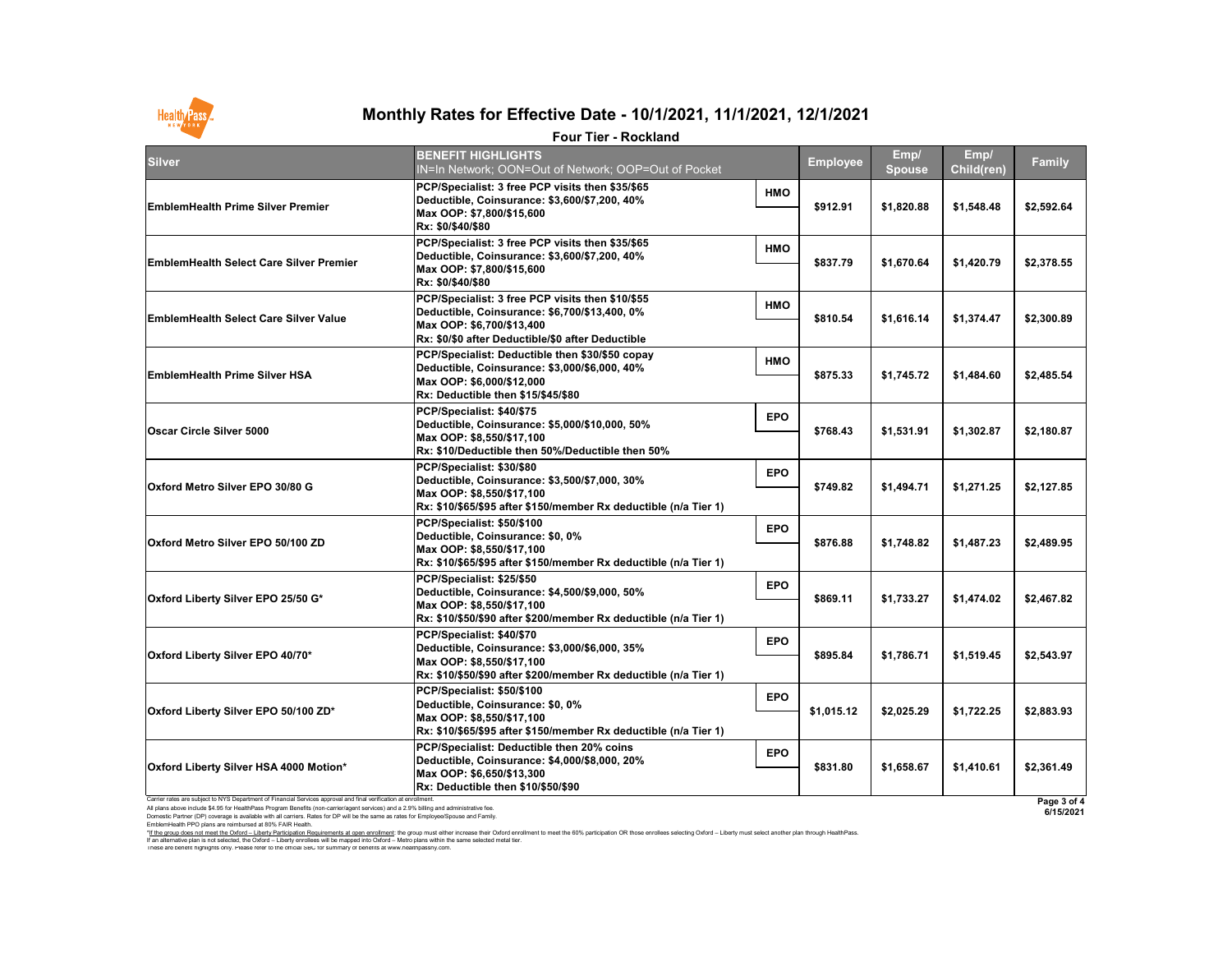Carrier rates are subject to NYS Department of Financial Services approval and final verification at enrollment. All plans above include \$4.95 for HealthPass Program Benefits (non-carrier/agent services) and a 2.9% billing and administrative fee. Domestic Partner (DP) coverage is available with all carriers. Rates for DP will be the same as rates for Employee/Spouse and Family. EmblemHealth PPO plans are reimbursed at 80% FAIR Health.

**6/15/2021**



## **Monthly Rates for Effective Date - 10/1/2021, 11/1/2021, 12/1/2021**

#### **Four Tier - Rockland**

| <b>Silver</b>                                                                                                  | <b>BENEFIT HIGHLIGHTS</b><br>IN=In Network; OON=Out of Network; OOP=Out of Pocket                                                                                                                             |            | <b>Employee</b> | Emp/<br><b>Spouse</b> | Emp/<br>Child(ren) | <b>Family</b> |
|----------------------------------------------------------------------------------------------------------------|---------------------------------------------------------------------------------------------------------------------------------------------------------------------------------------------------------------|------------|-----------------|-----------------------|--------------------|---------------|
| <b>EmblemHealth Prime Silver Premier</b>                                                                       | PCP/Specialist: 3 free PCP visits then \$35/\$65<br>Deductible, Coinsurance: \$3,600/\$7,200, 40%<br>Max OOP: \$7,800/\$15,600<br>Rx: \$0/\$40/\$80                                                           | <b>HMO</b> | \$912.91        | \$1,820.88            | \$1,548.48         | \$2,592.64    |
| <b>EmblemHealth Select Care Silver Premier</b>                                                                 | PCP/Specialist: 3 free PCP visits then \$35/\$65<br> Deductible, Coinsurance: \$3,600/\$7,200, 40%<br>Max OOP: \$7,800/\$15,600<br>Rx: \$0/\$40/\$80                                                          | <b>HMO</b> | \$837.79        | \$1,670.64            | \$1,420.79         | \$2,378.55    |
| <b>EmblemHealth Select Care Silver Value</b>                                                                   | PCP/Specialist: 3 free PCP visits then \$10/\$55<br> Deductible, Coinsurance: \$6,700/\$13,400, 0%<br>Max OOP: \$6,700/\$13,400 <br> Rx: \$0/\$0 after Deductible/\$0 after Deductible_                       | <b>HMO</b> | \$810.54        | \$1,616.14            | \$1,374.47         | \$2,300.89    |
| <b>EmblemHealth Prime Silver HSA</b>                                                                           | PCP/Specialist: Deductible then \$30/\$50 copay<br>Deductible, Coinsurance: \$3,000/\$6,000, 40%<br>Max OOP: \$6,000/\$12,000<br>Rx: Deductible then \$15/\$45/\$80                                           | <b>HMO</b> | \$875.33        | \$1,745.72            | \$1,484.60         | \$2,485.54    |
| <b>Oscar Circle Silver 5000</b>                                                                                | PCP/Specialist: \$40/\$75<br>Deductible, Coinsurance: \$5,000/\$10,000, 50%<br>Max OOP: \$8,550/\$17,100<br>$\mathsf{Rx}\text{: }\$10\mathsf{/Deductible}$ then 50%/Deductible then 50%                       | <b>EPO</b> | \$768.43        | \$1,531.91            | \$1,302.87         | \$2,180.87    |
| Oxford Metro Silver EPO 30/80 G                                                                                | PCP/Specialist: \$30/\$80<br>Deductible, Coinsurance: \$3,500/\$7,000, 30%<br>Max OOP: \$8,550/\$17,100<br> Rx: \$10/\$65/\$95                                  after \$150/member Rx deductible (n/a Tier 1) | <b>EPO</b> | \$749.82        | \$1,494.71            | \$1,271.25         | \$2,127.85    |
| <b>Oxford Metro Silver EPO 50/100 ZD</b>                                                                       | PCP/Specialist: \$50/\$100<br>Deductible, Coinsurance: \$0, 0%<br>Max OOP: \$8,550/\$17,100<br> Rx: \$10/\$65/\$95 after \$150/member Rx deductible (n/a Tier 1)_                                             | <b>EPO</b> | \$876.88        | \$1,748.82            | \$1,487.23         | \$2,489.95    |
| <b>Oxford Liberty Silver EPO 25/50 G*</b>                                                                      | PCP/Specialist: \$25/\$50<br>Deductible, Coinsurance: \$4,500/\$9,000, 50%<br>Max OOP: \$8,550/\$17,100 <br> Rx: \$10/\$50/\$90 after \$200/member Rx deductible (n/a Tier 1)                                 | <b>EPO</b> | \$869.11        | \$1,733.27            | \$1,474.02         | \$2,467.82    |
| <b>Oxford Liberty Silver EPO 40/70*</b>                                                                        | PCP/Specialist: \$40/\$70<br> Deductible, Coinsurance: \$3,000/\$6,000, 35%<br>Max OOP: \$8,550/\$17,100                                                                                                      | <b>EPO</b> | \$895.84        | \$1,786.71            | \$1,519.45         | \$2,543.97    |
| <b>Oxford Liberty Silver EPO 50/100 ZD*</b>                                                                    | PCP/Specialist: \$50/\$100<br>Deductible, Coinsurance: \$0, 0%<br>Max OOP: \$8,550/\$17,100 <br> Rx: \$10/\$65/\$95                                  after \$150/member Rx deductible (n/a Tier 1)            | <b>EPO</b> | \$1,015.12      | \$2,025.29            | \$1,722.25         | \$2,883.93    |
| <b>Oxford Liberty Silver HSA 4000 Motion*</b>                                                                  | PCP/Specialist: Deductible then 20% coins<br> Deductible, Coinsurance: \$4,000/\$8,000, 20%<br>Max OOP: \$6,650/\$13,300<br>Rx: Deductible then \$10/\$50/\$90                                                | <b>EPO</b> | \$831.80        | \$1,658.67            | \$1,410.61         | \$2,361.49    |
| Carrier rates are subject to NYS Department of Financial Services approval and final verification at enrollmen |                                                                                                                                                                                                               |            |                 |                       |                    | Page 3 of 4   |



These are benefit highlights only. Please refer to the official SBC for summary of benefits at www.healthpassny.com. \*<u>If the group does not meet the Oxford – Liberty Participation Requirements at open enrollment</u>: the group must either increase their Oxford enrollment to meet the 60% participation OR those enrollees selecting Oxford – L If an alternative plan is not selected, the Oxford – Liberty enrollees will be mapped into Oxford – Metro plans within the same selected metal tier.